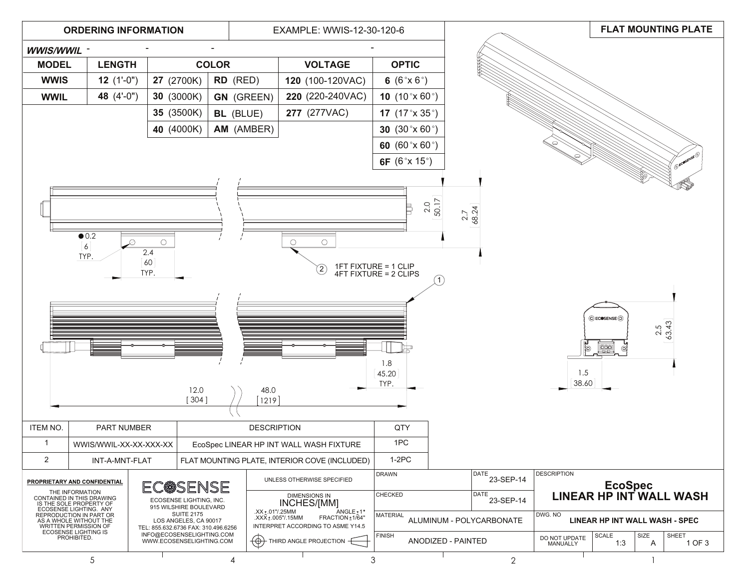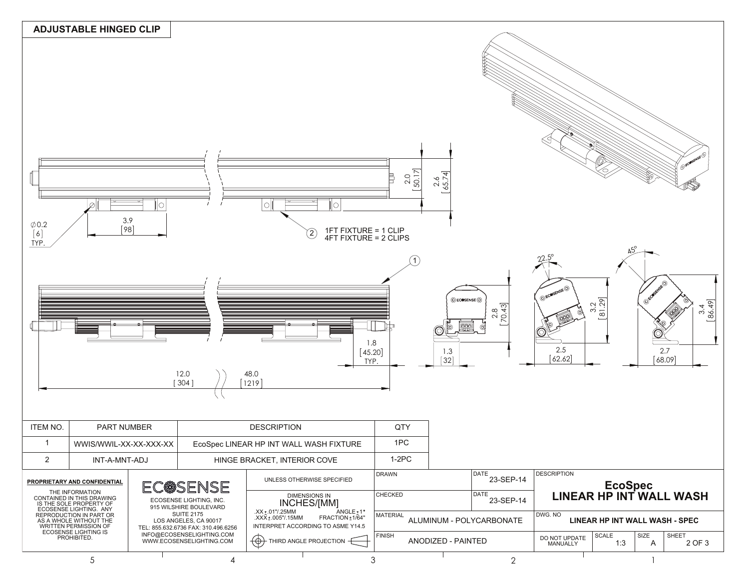